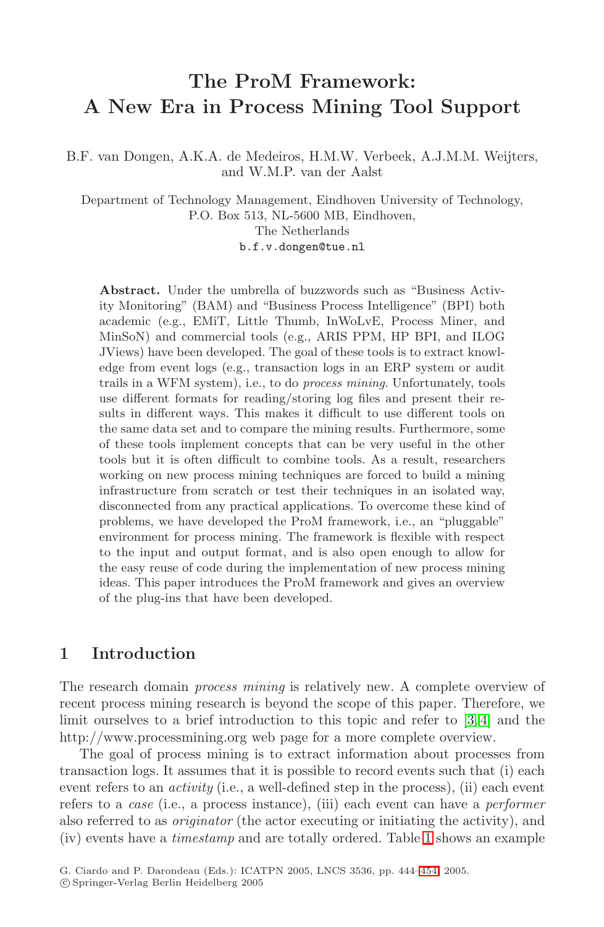# **The ProM Framework: A New Era in Process Mining Tool Support**

B.F. van Dongen, A.K.A. de Medeiros, H.M.W. Verbeek, A.J.M.M. Weijters, and W.M.P. van der Aalst

Department of Technology Management, Eindhoven University of Technology, P.O. Box 513, NL-5600 MB, Eindhoven, The Netherlands b.f.v.dongen@tue.nl

**Abstract.** Under the umbrella of buzzwords such as "Business Activity Monitoring" (BAM) and "Business Process Intelligence" (BPI) both academic (e.g., EMiT, Little Thumb, InWoLvE, Process Miner, and MinSoN) and commercial tools (e.g., ARIS PPM, HP BPI, and ILOG JViews) have been developed. The goal of these tools is to extract knowledge from event logs (e.g., transaction logs in an ERP system or audit trails in a WFM system), i.e., to do *process mining*. Unfortunately, tools use different formats for reading/storing log files and present their results in different ways. This makes it difficult to use different tools on the same data set and to compare the mining results. Furthermore, some of these tools implement concepts that can be very useful in the other tools but it is often difficult to combine tools. As a result, researchers working on new process mining techniques are forced to build a mining infrastructure from scratch or test their techniques in an isolated way, disconnected from any practical applications. To overcome these kind of problems, we have developed the ProM framework, i.e., an "pluggable" environment for process mining. The framework is flexible with respect to the input and output format, and is also open enough to allow for the easy reuse of code during the implementation of new process mining ideas. This paper introduces the ProM framework and gives an overview of the plug-ins that have been developed.

## **1 Introduction**

The research domain *process mining* is relatively new. A complete overview of recent process mining research is beyond the scope of this paper. Therefore, we limit ourselves to a brief introduction to this topic and refer to [\[3,](#page-9-0) [4\]](#page-9-1) and the http://www.processmining.org web page for a more complete overview.

The goal of process mining is to extract information about processes from transaction logs. It assumes that it is possible to record events such that (i) each event refers to an *activity* (i.e., a well-defined step in the process), (ii) each event refers to a *case* (i.e., a process instance), (iii) each event can have a *performer* also referred to as *originator* (the actor executing or initiating the activity), and (iv) events have a *timestamp* and are totally ordered. Table [1](#page-1-0) shows an example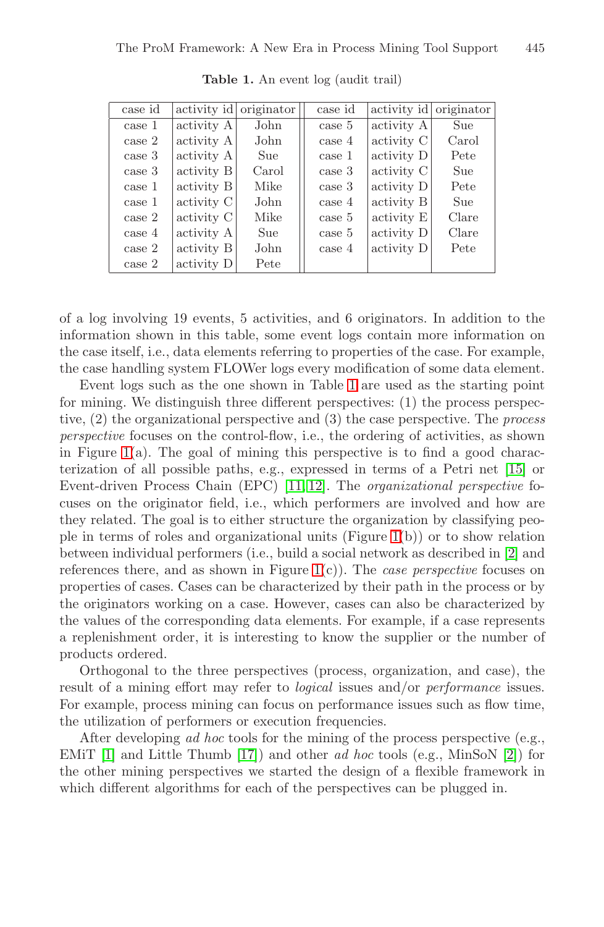| case id |            | activity id originator | case id | activity id | originator |
|---------|------------|------------------------|---------|-------------|------------|
| case 1  | activity A | John                   | case 5  | activity A  | Sue        |
| case 2  | activity A | John                   | case 4  | activity C  | Carol      |
| case 3  | activity A | Sue:                   | case 1  | activity D  | Pete       |
| case 3  | activity B | Carol                  | case 3  | activity C  | Sue        |
| case 1  | activity B | Mike                   | case 3  | activity D  | Pete       |
| case 1  | activity C | John                   | case 4  | activity B  | Sue        |
| case 2  | activity C | Mike                   | case 5  | activity E  | Clare      |
| case 4  | activity A | Sue                    | case 5  | activity D  | Clare      |
| case 2  | activity B | John                   | case 4  | activity D  | Pete       |
| case 2  | activity D | Pete                   |         |             |            |

<span id="page-1-0"></span>**Table 1.** An event log (audit trail)

of a log involving 19 events, 5 activities, and 6 originators. In addition to the information shown in this table, some event logs contain more information on the case itself, i.e., data elements referring to properties of the case. For example, the case handling system FLOWer logs every modification of some data element.

Event logs such as the one shown in Table [1](#page-1-0) are used as the starting point for mining. We distinguish three different perspectives: (1) the process perspective, (2) the organizational perspective and (3) the case perspective. The *process perspective* focuses on the control-flow, i.e., the ordering of activities, as shown in Figure  $1(a)$ . The goal of mining this perspective is to find a good characterization of all possible paths, e.g., expressed in terms of a Petri net [\[15\]](#page-10-1) or Event-driven Process Chain (EPC) [\[11,](#page-9-2) [12\]](#page-9-3). The *organizational perspective* focuses on the originator field, i.e., which performers are involved and how are they related. The goal is to either structure the organization by classifying people in terms of roles and organizational units (Figure [1\(](#page-2-0)b)) or to show relation between individual performers (i.e., build a social network as described in [\[2\]](#page-9-4) and references there, and as shown in Figure [1\(](#page-2-0)c)). The *case perspective* focuses on properties of cases. Cases can be characterized by their path in the process or by the originators working on a case. However, cases can also be characterized by the values of the corresponding data elements. For example, if a case represents a replenishment order, it is interesting to know the supplier or the number of products ordered.

Orthogonal to the three perspectives (process, organization, and case), the result of a mining effort may refer to *logical* issues and/or *performance* issues. For example, process mining can focus on performance issues such as flow time, the utilization of performers or execution frequencies.

After developing *ad hoc* tools for the mining of the process perspective (e.g., EMiT [\[1\]](#page-9-5) and Little Thumb [\[17\]](#page-10-2)) and other *ad hoc* tools (e.g., MinSoN [\[2\]](#page-9-4)) for the other mining perspectives we started the design of a flexible framework in which different algorithms for each of the perspectives can be plugged in.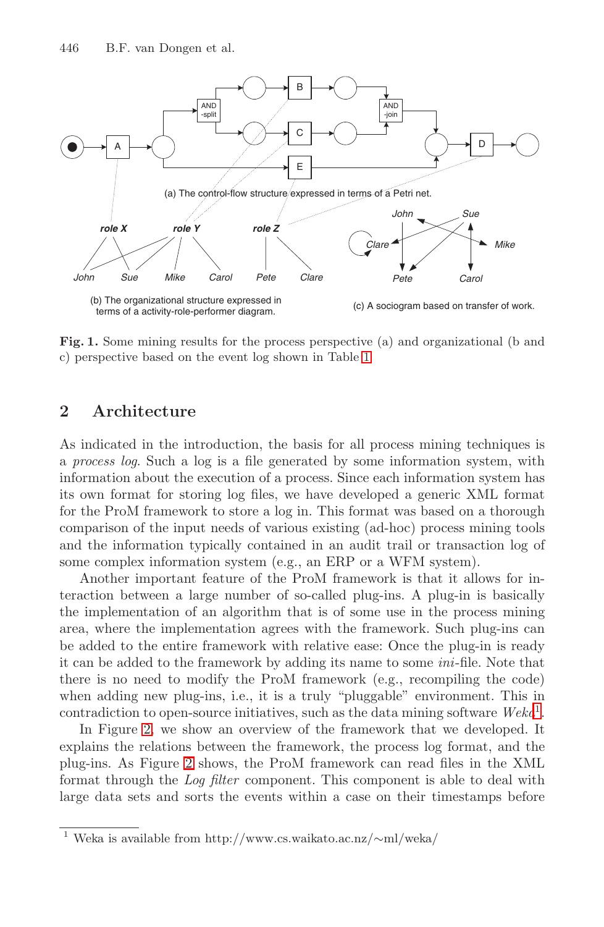

<span id="page-2-0"></span>**Fig. 1.** Some mining results for the process perspective (a) and organizational (b and c) perspective based on the event log shown in Table [1](#page-1-0)

#### **2 Architecture**

As indicated in the introduction, the basis for all process mining techniques is a *process log*. Such a log is a file generated by some information system, with information about the execution of a process. Since each information system has its own format for storing log files, we have developed a generic XML format for the ProM framework to store a log in. This format was based on a thorough comparison of the input needs of various existing (ad-hoc) process mining tools and the information typically contained in an audit trail or transaction log of some complex information system (e.g., an ERP or a WFM system).

Another important feature of the ProM framework is that it allows for interaction between a large number of so-called plug-ins. A plug-in is basically the implementation of an algorithm that is of some use in the process mining area, where the implementation agrees with the framework. Such plug-ins can be added to the entire framework with relative ease: Once the plug-in is ready it can be added to the framework by adding its name to some *ini*-file. Note that there is no need to modify the ProM framework (e.g., recompiling the code) when adding new plug-ins, i.e., it is a truly "pluggable" environment. This in contradiction to open-source initiatives, such as the data mining software *Weka*[1](#page-2-1).

In Figure [2,](#page-3-0) we show an overview of the framework that we developed. It explains the relations between the framework, the process log format, and the plug-ins. As Figure [2](#page-3-0) shows, the ProM framework can read files in the XML format through the *Log filter* component. This component is able to deal with large data sets and sorts the events within a case on their timestamps before

<span id="page-2-1"></span><sup>1</sup> Weka is available from http://www.cs.waikato.ac.nz/∼ml/weka/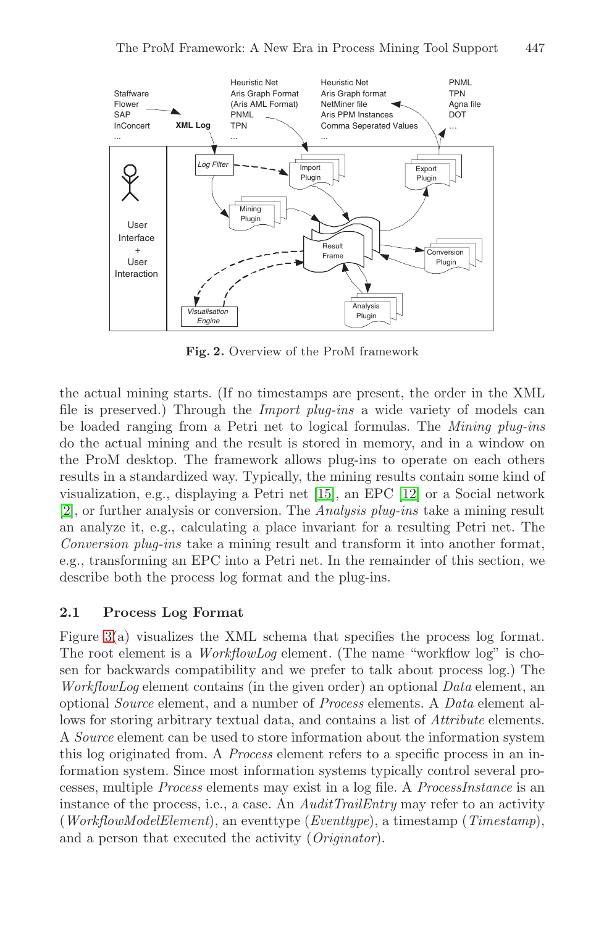

<span id="page-3-0"></span>**Fig. 2.** Overview of the ProM framework

the actual mining starts. (If no timestamps are present, the order in the XML file is preserved.) Through the *Import plug-ins* a wide variety of models can be loaded ranging from a Petri net to logical formulas. The *Mining plug-ins* do the actual mining and the result is stored in memory, and in a window on the ProM desktop. The framework allows plug-ins to operate on each others results in a standardized way. Typically, the mining results contain some kind of visualization, e.g., displaying a Petri net [\[15\]](#page-10-1), an EPC [\[12\]](#page-9-3) or a Social network [\[2\]](#page-9-4), or further analysis or conversion. The *Analysis plug-ins* take a mining result an analyze it, e.g., calculating a place invariant for a resulting Petri net. The *Conversion plug-ins* take a mining result and transform it into another format, e.g., transforming an EPC into a Petri net. In the remainder of this section, we describe both the process log format and the plug-ins.

#### **2.1 Process Log Format**

Figure [3\(](#page-4-0)a) visualizes the XML schema that specifies the process log format. The root element is a *WorkflowLog* element. (The name "workflow log" is chosen for backwards compatibility and we prefer to talk about process log.) The *WorkflowLog* element contains (in the given order) an optional *Data* element, an optional *Source* element, and a number of *Process* elements. A *Data* element allows for storing arbitrary textual data, and contains a list of *Attribute* elements. A *Source* element can be used to store information about the information system this log originated from. A *Process* element refers to a specific process in an information system. Since most information systems typically control several processes, multiple *Process* elements may exist in a log file. A *ProcessInstance* is an instance of the process, i.e., a case. An *AuditTrailEntry* may refer to an activity (*WorkflowModelElement*), an eventtype (*Eventtype*), a timestamp (*Timestamp*), and a person that executed the activity (*Originator*).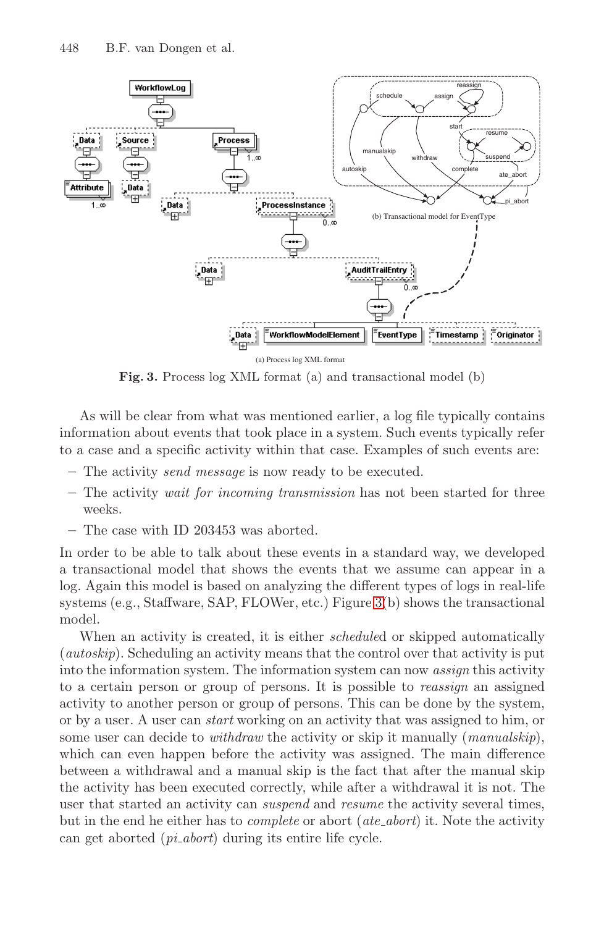

**Fig. 3.** Process log XML format (a) and transactional model (b)

<span id="page-4-0"></span>As will be clear from what was mentioned earlier, a log file typically contains information about events that took place in a system. Such events typically refer to a case and a specific activity within that case. Examples of such events are:

- **–** The activity *send message* is now ready to be executed.
- **–** The activity *wait for incoming transmission* has not been started for three weeks.
- **–** The case with ID 203453 was aborted.

In order to be able to talk about these events in a standard way, we developed a transactional model that shows the events that we assume can appear in a log. Again this model is based on analyzing the different types of logs in real-life systems (e.g., Staffware, SAP, FLOWer, etc.) Figure [3\(](#page-4-0)b) shows the transactional model.

When an activity is created, it is either *schedule*d or skipped automatically (*autoskip*). Scheduling an activity means that the control over that activity is put into the information system. The information system can now *assign* this activity to a certain person or group of persons. It is possible to *reassign* an assigned activity to another person or group of persons. This can be done by the system, or by a user. A user can *start* working on an activity that was assigned to him, or some user can decide to *withdraw* the activity or skip it manually (*manualskip*), which can even happen before the activity was assigned. The main difference between a withdrawal and a manual skip is the fact that after the manual skip the activity has been executed correctly, while after a withdrawal it is not. The user that started an activity can *suspend* and *resume* the activity several times, but in the end he either has to *complete* or abort (*ate abort*) it. Note the activity can get aborted (*pi abort*) during its entire life cycle.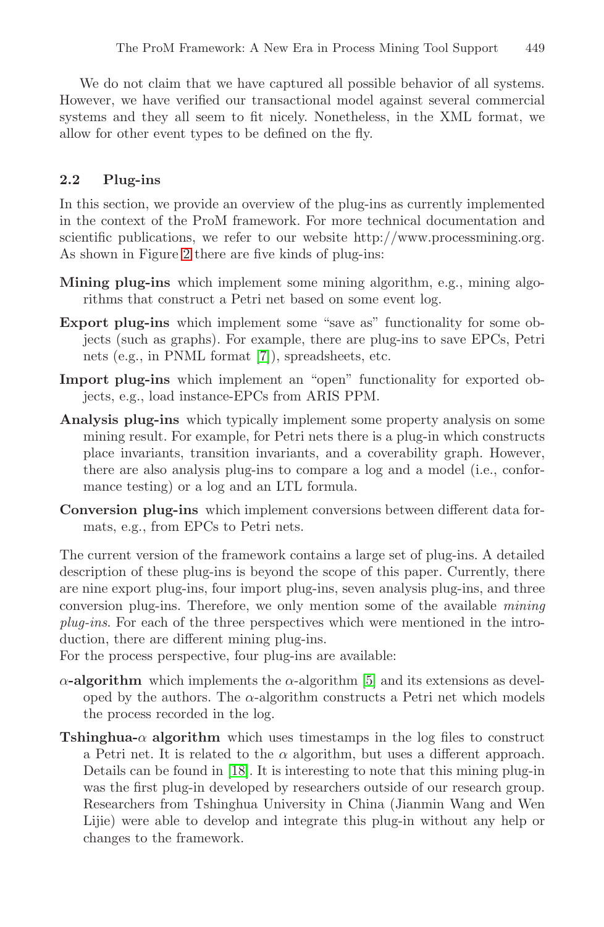We do not claim that we have captured all possible behavior of all systems. However, we have verified our transactional model against several commercial systems and they all seem to fit nicely. Nonetheless, in the XML format, we allow for other event types to be defined on the fly.

#### **2.2 Plug-ins**

In this section, we provide an overview of the plug-ins as currently implemented in the context of the ProM framework. For more technical documentation and scientific publications, we refer to our website http://www.processmining.org. As shown in Figure [2](#page-3-0) there are five kinds of plug-ins:

- **Mining plug-ins** which implement some mining algorithm, e.g., mining algorithms that construct a Petri net based on some event log.
- **Export plug-ins** which implement some "save as" functionality for some objects (such as graphs). For example, there are plug-ins to save EPCs, Petri nets (e.g., in PNML format [\[7\]](#page-9-6)), spreadsheets, etc.
- **Import plug-ins** which implement an "open" functionality for exported objects, e.g., load instance-EPCs from ARIS PPM.
- **Analysis plug-ins** which typically implement some property analysis on some mining result. For example, for Petri nets there is a plug-in which constructs place invariants, transition invariants, and a coverability graph. However, there are also analysis plug-ins to compare a log and a model (i.e., conformance testing) or a log and an LTL formula.
- **Conversion plug-ins** which implement conversions between different data formats, e.g., from EPCs to Petri nets.

The current version of the framework contains a large set of plug-ins. A detailed description of these plug-ins is beyond the scope of this paper. Currently, there are nine export plug-ins, four import plug-ins, seven analysis plug-ins, and three conversion plug-ins. Therefore, we only mention some of the available *mining plug-ins*. For each of the three perspectives which were mentioned in the introduction, there are different mining plug-ins.

For the process perspective, four plug-ins are available:

- $\alpha$ **-algorithm** which implements the  $\alpha$ -algorithm [\[5\]](#page-9-7) and its extensions as developed by the authors. The  $\alpha$ -algorithm constructs a Petri net which models the process recorded in the log.
- **Tshinghua-** $\alpha$  **algorithm** which uses timestamps in the log files to construct a Petri net. It is related to the  $\alpha$  algorithm, but uses a different approach. Details can be found in [\[18\]](#page-10-3). It is interesting to note that this mining plug-in was the first plug-in developed by researchers outside of our research group. Researchers from Tshinghua University in China (Jianmin Wang and Wen Lijie) were able to develop and integrate this plug-in without any help or changes to the framework.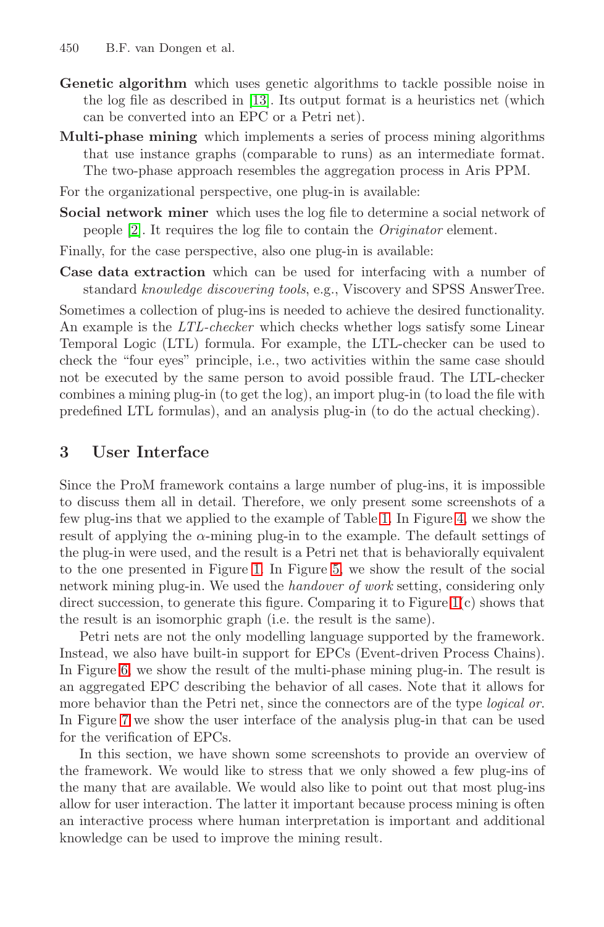**Genetic algorithm** which uses genetic algorithms to tackle possible noise in the log file as described in [\[13\]](#page-9-8). Its output format is a heuristics net (which can be converted into an EPC or a Petri net).

**Multi-phase mining** which implements a series of process mining algorithms that use instance graphs (comparable to runs) as an intermediate format. The two-phase approach resembles the aggregation process in Aris PPM.

For the organizational perspective, one plug-in is available:

**Social network miner** which uses the log file to determine a social network of people [\[2\]](#page-9-4). It requires the log file to contain the *Originator* element.

Finally, for the case perspective, also one plug-in is available:

**Case data extraction** which can be used for interfacing with a number of standard *knowledge discovering tools*, e.g., Viscovery and SPSS AnswerTree.

Sometimes a collection of plug-ins is needed to achieve the desired functionality. An example is the *LTL-checker* which checks whether logs satisfy some Linear Temporal Logic (LTL) formula. For example, the LTL-checker can be used to check the "four eyes" principle, i.e., two activities within the same case should not be executed by the same person to avoid possible fraud. The LTL-checker combines a mining plug-in (to get the log), an import plug-in (to load the file with predefined LTL formulas), and an analysis plug-in (to do the actual checking).

### **3 User Interface**

Since the ProM framework contains a large number of plug-ins, it is impossible to discuss them all in detail. Therefore, we only present some screenshots of a few plug-ins that we applied to the example of Table [1.](#page-1-0) In Figure [4,](#page-7-0) we show the result of applying the  $\alpha$ -mining plug-in to the example. The default settings of the plug-in were used, and the result is a Petri net that is behaviorally equivalent to the one presented in Figure [1.](#page-2-0) In Figure [5,](#page-7-1) we show the result of the social network mining plug-in. We used the *handover of work* setting, considering only direct succession, to generate this figure. Comparing it to Figure [1\(](#page-2-0)c) shows that the result is an isomorphic graph (i.e. the result is the same).

Petri nets are not the only modelling language supported by the framework. Instead, we also have built-in support for EPCs (Event-driven Process Chains). In Figure [6,](#page-7-2) we show the result of the multi-phase mining plug-in. The result is an aggregated EPC describing the behavior of all cases. Note that it allows for more behavior than the Petri net, since the connectors are of the type *logical or*. In Figure [7](#page-7-3) we show the user interface of the analysis plug-in that can be used for the verification of EPCs.

In this section, we have shown some screenshots to provide an overview of the framework. We would like to stress that we only showed a few plug-ins of the many that are available. We would also like to point out that most plug-ins allow for user interaction. The latter it important because process mining is often an interactive process where human interpretation is important and additional knowledge can be used to improve the mining result.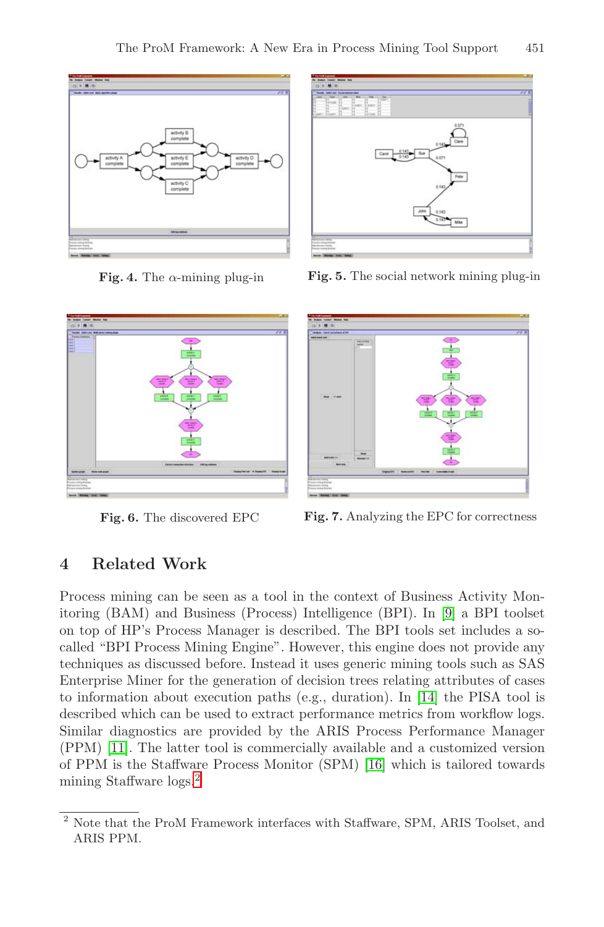

<span id="page-7-0"></span>

<span id="page-7-3"></span>



**Fig. 4.** The  $\alpha$ -mining plug-in **Fig. 5.** The social network mining plug-in

<span id="page-7-1"></span>

| 学过期<br>Aubra: Gett constitute #121                      |                                              |                                                                                   |  |  |
|---------------------------------------------------------|----------------------------------------------|-----------------------------------------------------------------------------------|--|--|
| <b><i><u>Informations</u></i></b><br><b>Now College</b> | <b>GALICIAN</b><br><b>John</b><br><b>Sec</b> | ₩                                                                                 |  |  |
|                                                         |                                              | щ<br>- 3<br>╼<br>e                                                                |  |  |
| dealer book over<br><b>Seat Ave</b>                     | <br><b>Burning Inc.</b>                      |                                                                                   |  |  |
|                                                         |                                              | <b>Imput IV</b><br><b>InternetTR</b><br><b>February - Construction Creek</b><br>× |  |  |

Fig. 6. The discovered EPC Fig. 7. Analyzing the EPC for correctness

## <span id="page-7-2"></span>**4 Related Work**

Process mining can be seen as a tool in the context of Business Activity Monitoring (BAM) and Business (Process) Intelligence (BPI). In [\[9\]](#page-9-9) a BPI toolset on top of HP's Process Manager is described. The BPI tools set includes a socalled "BPI Process Mining Engine". However, this engine does not provide any techniques as discussed before. Instead it uses generic mining tools such as SAS Enterprise Miner for the generation of decision trees relating attributes of cases to information about execution paths (e.g., duration). In [\[14\]](#page-10-4) the PISA tool is described which can be used to extract performance metrics from workflow logs. Similar diagnostics are provided by the ARIS Process Performance Manager (PPM) [\[11\]](#page-9-2). The latter tool is commercially available and a customized version of PPM is the Staffware Process Monitor (SPM) [\[16\]](#page-10-5) which is tailored towards mining Staffware logs.[2](#page-7-4)

<span id="page-7-4"></span><sup>2</sup> Note that the ProM Framework interfaces with Staffware, SPM, ARIS Toolset, and ARIS PPM.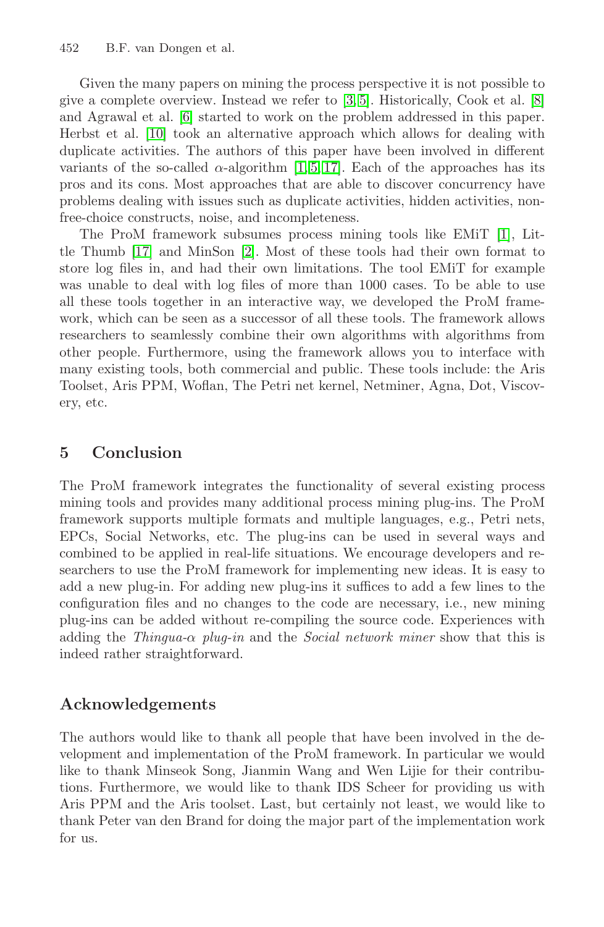Given the many papers on mining the process perspective it is not possible to give a complete overview. Instead we refer to [\[3,](#page-9-0) [5\]](#page-9-7). Historically, Cook et al. [\[8\]](#page-9-10) and Agrawal et al. [\[6\]](#page-9-11) started to work on the problem addressed in this paper. Herbst et al. [\[10\]](#page-9-12) took an alternative approach which allows for dealing with duplicate activities. The authors of this paper have been involved in different variants of the so-called  $\alpha$ -algorithm [\[1,](#page-9-5) [5,](#page-9-7) [17\]](#page-10-2). Each of the approaches has its pros and its cons. Most approaches that are able to discover concurrency have problems dealing with issues such as duplicate activities, hidden activities, nonfree-choice constructs, noise, and incompleteness.

The ProM framework subsumes process mining tools like EMiT [\[1\]](#page-9-5), Little Thumb [\[17\]](#page-10-2) and MinSon [\[2\]](#page-9-4). Most of these tools had their own format to store log files in, and had their own limitations. The tool EMiT for example was unable to deal with log files of more than 1000 cases. To be able to use all these tools together in an interactive way, we developed the ProM framework, which can be seen as a successor of all these tools. The framework allows researchers to seamlessly combine their own algorithms with algorithms from other people. Furthermore, using the framework allows you to interface with many existing tools, both commercial and public. These tools include: the Aris Toolset, Aris PPM, Woflan, The Petri net kernel, Netminer, Agna, Dot, Viscovery, etc.

# **5 Conclusion**

The ProM framework integrates the functionality of several existing process mining tools and provides many additional process mining plug-ins. The ProM framework supports multiple formats and multiple languages, e.g., Petri nets, EPCs, Social Networks, etc. The plug-ins can be used in several ways and combined to be applied in real-life situations. We encourage developers and researchers to use the ProM framework for implementing new ideas. It is easy to add a new plug-in. For adding new plug-ins it suffices to add a few lines to the configuration files and no changes to the code are necessary, i.e., new mining plug-ins can be added without re-compiling the source code. Experiences with adding the *Thingua-*α *plug-in* and the *Social network miner* show that this is indeed rather straightforward.

## **Acknowledgements**

The authors would like to thank all people that have been involved in the development and implementation of the ProM framework. In particular we would like to thank Minseok Song, Jianmin Wang and Wen Lijie for their contributions. Furthermore, we would like to thank IDS Scheer for providing us with Aris PPM and the Aris toolset. Last, but certainly not least, we would like to thank Peter van den Brand for doing the major part of the implementation work for us.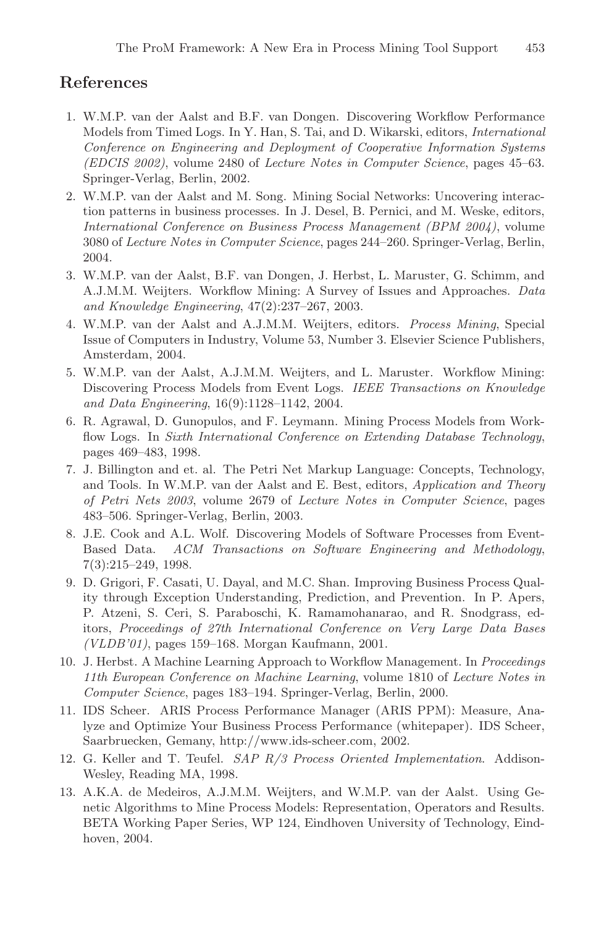#### <span id="page-9-5"></span>**References**

- 1. W.M.P. van der Aalst and B.F. van Dongen. Discovering Workflow Performance Models from Timed Logs. In Y. Han, S. Tai, and D. Wikarski, editors, *International Conference on Engineering and Deployment of Cooperative Information Systems (EDCIS 2002)*, volume 2480 of *Lecture Notes in Computer Science*, pages 45–63. Springer-Verlag, Berlin, 2002.
- <span id="page-9-4"></span>2. W.M.P. van der Aalst and M. Song. Mining Social Networks: Uncovering interaction patterns in business processes. In J. Desel, B. Pernici, and M. Weske, editors, *International Conference on Business Process Management (BPM 2004)*, volume 3080 of *Lecture Notes in Computer Science*, pages 244–260. Springer-Verlag, Berlin, 2004.
- <span id="page-9-0"></span>3. W.M.P. van der Aalst, B.F. van Dongen, J. Herbst, L. Maruster, G. Schimm, and A.J.M.M. Weijters. Workflow Mining: A Survey of Issues and Approaches. *Data and Knowledge Engineering*, 47(2):237–267, 2003.
- <span id="page-9-1"></span>4. W.M.P. van der Aalst and A.J.M.M. Weijters, editors. *Process Mining*, Special Issue of Computers in Industry, Volume 53, Number 3. Elsevier Science Publishers, Amsterdam, 2004.
- <span id="page-9-7"></span>5. W.M.P. van der Aalst, A.J.M.M. Weijters, and L. Maruster. Workflow Mining: Discovering Process Models from Event Logs. *IEEE Transactions on Knowledge and Data Engineering*, 16(9):1128–1142, 2004.
- <span id="page-9-11"></span>6. R. Agrawal, D. Gunopulos, and F. Leymann. Mining Process Models from Workflow Logs. In *Sixth International Conference on Extending Database Technology*, pages 469–483, 1998.
- <span id="page-9-6"></span>7. J. Billington and et. al. The Petri Net Markup Language: Concepts, Technology, and Tools. In W.M.P. van der Aalst and E. Best, editors, *Application and Theory of Petri Nets 2003*, volume 2679 of *Lecture Notes in Computer Science*, pages 483–506. Springer-Verlag, Berlin, 2003.
- <span id="page-9-10"></span>8. J.E. Cook and A.L. Wolf. Discovering Models of Software Processes from Event-Based Data. *ACM Transactions on Software Engineering and Methodology*, 7(3):215–249, 1998.
- <span id="page-9-9"></span>9. D. Grigori, F. Casati, U. Dayal, and M.C. Shan. Improving Business Process Quality through Exception Understanding, Prediction, and Prevention. In P. Apers, P. Atzeni, S. Ceri, S. Paraboschi, K. Ramamohanarao, and R. Snodgrass, editors, *Proceedings of 27th International Conference on Very Large Data Bases (VLDB'01)*, pages 159–168. Morgan Kaufmann, 2001.
- <span id="page-9-12"></span>10. J. Herbst. A Machine Learning Approach to Workflow Management. In *Proceedings 11th European Conference on Machine Learning*, volume 1810 of *Lecture Notes in Computer Science*, pages 183–194. Springer-Verlag, Berlin, 2000.
- <span id="page-9-2"></span>11. IDS Scheer. ARIS Process Performance Manager (ARIS PPM): Measure, Analyze and Optimize Your Business Process Performance (whitepaper). IDS Scheer, Saarbruecken, Gemany, http://www.ids-scheer.com, 2002.
- <span id="page-9-3"></span>12. G. Keller and T. Teufel. *SAP R/3 Process Oriented Implementation*. Addison-Wesley, Reading MA, 1998.
- <span id="page-9-8"></span>13. A.K.A. de Medeiros, A.J.M.M. Weijters, and W.M.P. van der Aalst. Using Genetic Algorithms to Mine Process Models: Representation, Operators and Results. BETA Working Paper Series, WP 124, Eindhoven University of Technology, Eindhoven, 2004.